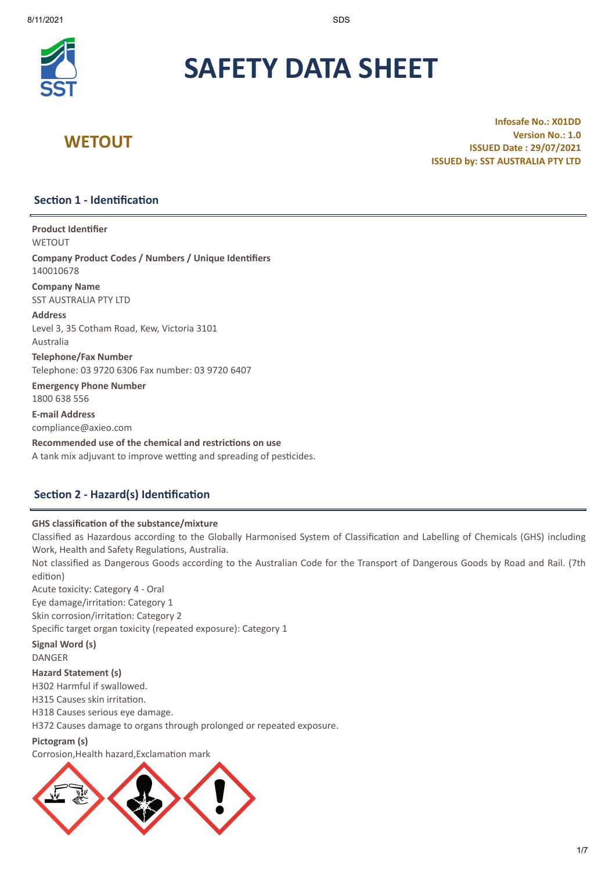

# **SAFETY DATA SHEET**

## **WETOUT**

**Infosafe No.: X01DD Version No.: 1.0 ISSUED Date : 29/07/2021 ISSUED by: SST AUSTRALIA PTY LTD**

## **Section 1 - Identification**

**Product Identifier**

**WETOUT** 

**Company Product Codes / Numbers / Unique Identifiers** 140010678

**Company Name** SST AUSTRALIA PTY LTD

**Address** Level 3, 35 Cotham Road, Kew, Victoria 3101 Australia

**Telephone/Fax Number** Telephone: 03 9720 6306 Fax number: 03 9720 6407

**Emergency Phone Number** 1800 638 556

**E-mail Address** compliance@axieo.com

**Recommended use of the chemical and restrictions on use** A tank mix adjuvant to improve wetting and spreading of pesticides.

## **Section 2 - Hazard(s) Identification**

## **GHS classification of the substance/mixture**

Classified as Hazardous according to the Globally Harmonised System of Classification and Labelling of Chemicals (GHS) including Work, Health and Safety Regulations, Australia.

Not classified as Dangerous Goods according to the Australian Code for the Transport of Dangerous Goods by Road and Rail. (7th edition)

Acute toxicity: Category 4 - Oral Eye damage/irritation: Category 1 Skin corrosion/irritation: Category 2 Specific target organ toxicity (repeated exposure): Category 1

**Signal Word (s)** DANGER

## **Hazard Statement (s)**

H302 Harmful if swallowed.

H315 Causes skin irritation.

H318 Causes serious eye damage.

H372 Causes damage to organs through prolonged or repeated exposure.

## **Pictogram (s)**

Corrosion,Health hazard,Exclamation mark

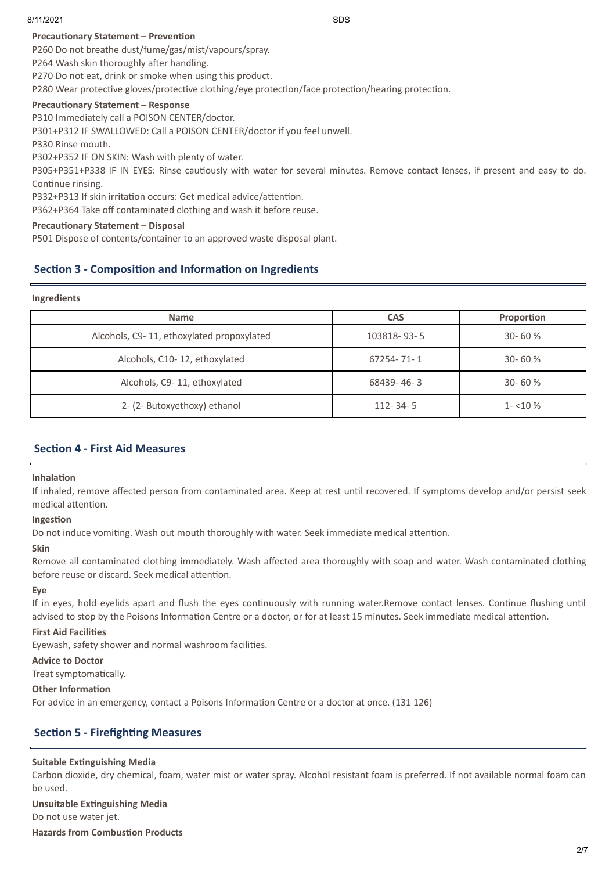## **Precautionary Statement – Prevention**

P260 Do not breathe dust/fume/gas/mist/vapours/spray.

P264 Wash skin thoroughly after handling.

P270 Do not eat, drink or smoke when using this product.

P280 Wear protective gloves/protective clothing/eye protection/face protection/hearing protection.

## **Precautionary Statement – Response**

P310 Immediately call a POISON CENTER/doctor.

P301+P312 IF SWALLOWED: Call a POISON CENTER/doctor if you feel unwell.

P330 Rinse mouth.

P302+P352 IF ON SKIN: Wash with plenty of water.

P305+P351+P338 IF IN EYES: Rinse cautiously with water for several minutes. Remove contact lenses, if present and easy to do. Continue rinsing.

P332+P313 If skin irritation occurs: Get medical advice/attention.

P362+P364 Take off contaminated clothing and wash it before reuse.

## **Precautionary Statement – Disposal**

P501 Dispose of contents/container to an approved waste disposal plant.

## **Section 3 - Composition and Information on Ingredients**

#### **Ingredients**

| <b>Name</b>                               | <b>CAS</b>     | Proportion |
|-------------------------------------------|----------------|------------|
| Alcohols, C9-11, ethoxylated propoxylated | 103818-93-5    | $30 - 60%$ |
| Alcohols, C10-12, ethoxylated             | 67254-71-1     | $30 - 60%$ |
| Alcohols, C9-11, ethoxylated              | 68439-46-3     | $30 - 60%$ |
| 2- (2- Butoxyethoxy) ethanol              | $112 - 34 - 5$ | $1 - 10\%$ |

## **Section 4 - First Aid Measures**

## **Inhalation**

If inhaled, remove affected person from contaminated area. Keep at rest until recovered. If symptoms develop and/or persist seek medical attention.

## **Ingestion**

Do not induce vomiting. Wash out mouth thoroughly with water. Seek immediate medical attention.

## **Skin**

Remove all contaminated clothing immediately. Wash affected area thoroughly with soap and water. Wash contaminated clothing before reuse or discard. Seek medical attention.

#### **Eye**

If in eyes, hold eyelids apart and flush the eyes continuously with running water.Remove contact lenses. Continue flushing until advised to stop by the Poisons Information Centre or a doctor, or for at least 15 minutes. Seek immediate medical attention.

## **First Aid Facilities**

Eyewash, safety shower and normal washroom facilities.

#### **Advice to Doctor**

Treat symptomatically.

## **Other Information**

For advice in an emergency, contact a Poisons Information Centre or a doctor at once. (131 126)

## **Section 5 - Firefighting Measures**

## **Suitable Extinguishing Media**

Carbon dioxide, dry chemical, foam, water mist or water spray. Alcohol resistant foam is preferred. If not available normal foam can be used.

## **Unsuitable Extinguishing Media**

Do not use water jet.

**Hazards from Combustion Products**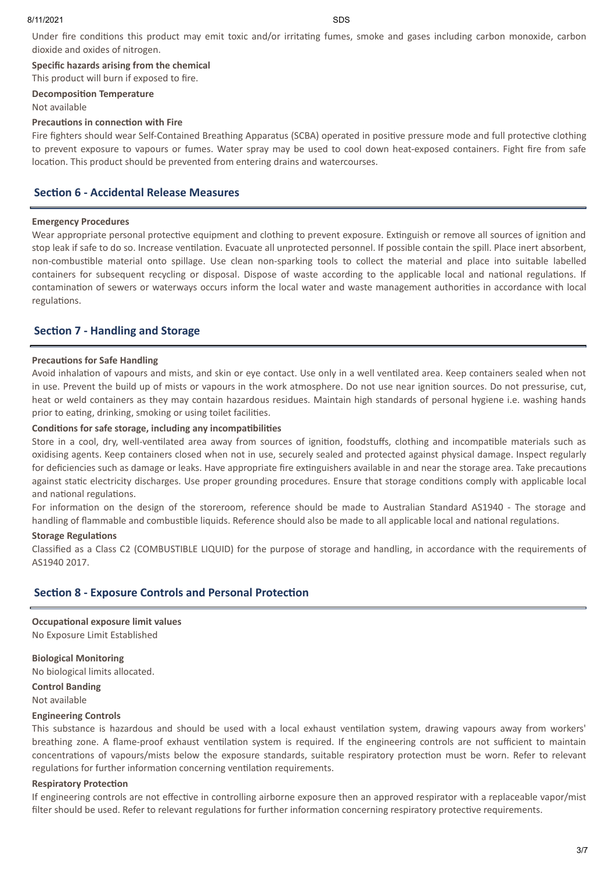Under fire conditions this product may emit toxic and/or irritating fumes, smoke and gases including carbon monoxide, carbon dioxide and oxides of nitrogen.

**Specific hazards arising from the chemical**

This product will burn if exposed to fire.

#### **Decomposition Temperature**

#### Not available

## **Precautions in connection with Fire**

Fire fighters should wear Self-Contained Breathing Apparatus (SCBA) operated in positive pressure mode and full protective clothing to prevent exposure to vapours or fumes. Water spray may be used to cool down heat-exposed containers. Fight fire from safe location. This product should be prevented from entering drains and watercourses.

## **Section 6 - Accidental Release Measures**

#### **Emergency Procedures**

Wear appropriate personal protective equipment and clothing to prevent exposure. Extinguish or remove all sources of ignition and stop leak if safe to do so. Increase ventilation. Evacuate all unprotected personnel. If possible contain the spill. Place inert absorbent, non-combustible material onto spillage. Use clean non-sparking tools to collect the material and place into suitable labelled containers for subsequent recycling or disposal. Dispose of waste according to the applicable local and national regulations. If contamination of sewers or waterways occurs inform the local water and waste management authorities in accordance with local regulations.

## **Section 7 - Handling and Storage**

## **Precautions for Safe Handling**

Avoid inhalation of vapours and mists, and skin or eye contact. Use only in a well ventilated area. Keep containers sealed when not in use. Prevent the build up of mists or vapours in the work atmosphere. Do not use near ignition sources. Do not pressurise, cut, heat or weld containers as they may contain hazardous residues. Maintain high standards of personal hygiene i.e. washing hands prior to eating, drinking, smoking or using toilet facilities.

## **Conditions for safe storage, including any incompatibilities**

Store in a cool, dry, well-ventilated area away from sources of ignition, foodstuffs, clothing and incompatible materials such as oxidising agents. Keep containers closed when not in use, securely sealed and protected against physical damage. Inspect regularly for deficiencies such as damage or leaks. Have appropriate fire extinguishers available in and near the storage area. Take precautions against static electricity discharges. Use proper grounding procedures. Ensure that storage conditions comply with applicable local and national regulations.

For information on the design of the storeroom, reference should be made to Australian Standard AS1940 - The storage and handling of flammable and combustible liquids. Reference should also be made to all applicable local and national regulations.

#### **Storage Regulations**

Classified as a Class C2 (COMBUSTIBLE LIQUID) for the purpose of storage and handling, in accordance with the requirements of AS1940 2017.

## **Section 8 - Exposure Controls and Personal Protection**

**Occupational exposure limit values** No Exposure Limit Established

**Biological Monitoring** No biological limits allocated.

**Control Banding** Not available

#### **Engineering Controls**

This substance is hazardous and should be used with a local exhaust ventilation system, drawing vapours away from workers' breathing zone. A flame-proof exhaust ventilation system is required. If the engineering controls are not sufficient to maintain concentrations of vapours/mists below the exposure standards, suitable respiratory protection must be worn. Refer to relevant regulations for further information concerning ventilation requirements.

#### **Respiratory Protection**

If engineering controls are not effective in controlling airborne exposure then an approved respirator with a replaceable vapor/mist filter should be used. Refer to relevant regulations for further information concerning respiratory protective requirements.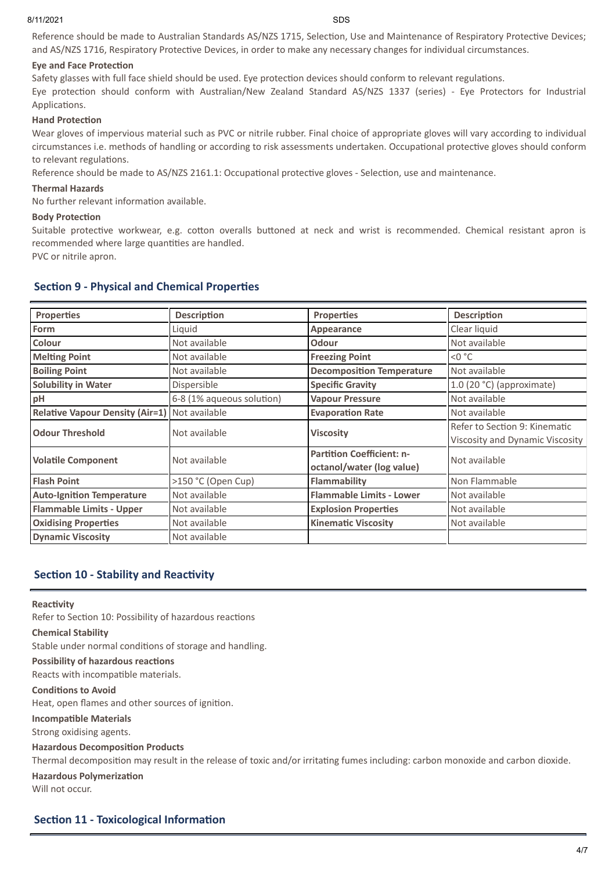Reference should be made to Australian Standards AS/NZS 1715, Selection, Use and Maintenance of Respiratory Protective Devices; and AS/NZS 1716, Respiratory Protective Devices, in order to make any necessary changes for individual circumstances.

## **Eye and Face Protection**

Safety glasses with full face shield should be used. Eye protection devices should conform to relevant regulations. Eye protection should conform with Australian/New Zealand Standard AS/NZS 1337 (series) - Eye Protectors for Industrial Applications.

## **Hand Protection**

Wear gloves of impervious material such as PVC or nitrile rubber. Final choice of appropriate gloves will vary according to individual circumstances i.e. methods of handling or according to risk assessments undertaken. Occupational protective gloves should conform to relevant regulations.

Reference should be made to AS/NZS 2161.1: Occupational protective gloves - Selection, use and maintenance.

## **Thermal Hazards**

No further relevant information available.

#### **Body Protection**

Suitable protective workwear, e.g. cotton overalls buttoned at neck and wrist is recommended. Chemical resistant apron is recommended where large quantities are handled.

PVC or nitrile apron.

## **Section 9 - Physical and Chemical Properties**

| <b>Properties</b>                      | <b>Description</b>        | <b>Properties</b>                                             | <b>Description</b>                                               |
|----------------------------------------|---------------------------|---------------------------------------------------------------|------------------------------------------------------------------|
| Form                                   | Liguid                    | Appearance                                                    | Clear liquid                                                     |
| Colour                                 | Not available             | <b>Odour</b>                                                  | Not available                                                    |
| <b>Melting Point</b>                   | Not available             | <b>Freezing Point</b>                                         | $<$ 0 $^{\circ}$ C                                               |
| <b>Boiling Point</b>                   | Not available             | <b>Decomposition Temperature</b>                              | Not available                                                    |
| <b>Solubility in Water</b>             | Dispersible               | <b>Specific Gravity</b>                                       | 1.0 (20 °C) (approximate)                                        |
| pH                                     | 6-8 (1% aqueous solution) | <b>Vapour Pressure</b>                                        | Not available                                                    |
| <b>Relative Vapour Density (Air=1)</b> | Not available             | <b>Evaporation Rate</b>                                       | Not available                                                    |
| <b>Odour Threshold</b>                 | Not available             | <b>Viscosity</b>                                              | Refer to Section 9: Kinematic<br>Viscosity and Dynamic Viscosity |
| <b>Volatile Component</b>              | Not available             | <b>Partition Coefficient: n-</b><br>octanol/water (log value) | Not available                                                    |
| <b>Flash Point</b>                     | >150 °C (Open Cup)        | Flammability                                                  | Non Flammable                                                    |
| <b>Auto-Ignition Temperature</b>       | Not available             | <b>Flammable Limits - Lower</b>                               | Not available                                                    |
| <b>Flammable Limits - Upper</b>        | Not available             | <b>Explosion Properties</b>                                   | Not available                                                    |
| <b>Oxidising Properties</b>            | Not available             | <b>Kinematic Viscosity</b>                                    | Not available                                                    |
| <b>Dynamic Viscosity</b>               | Not available             |                                                               |                                                                  |

## **Section 10 - Stability and Reactivity**

#### **Reactivity**

Refer to Section 10: Possibility of hazardous reactions

#### **Chemical Stability**

Stable under normal conditions of storage and handling.

## **Possibility of hazardous reactions**

Reacts with incompatible materials.

#### **Conditions to Avoid**

Heat, open flames and other sources of ignition.

#### **Incompatible Materials**

Strong oxidising agents.

#### **Hazardous Decomposition Products**

Thermal decomposition may result in the release of toxic and/or irritating fumes including: carbon monoxide and carbon dioxide.

## **Hazardous Polymerization**

Will not occur.

## **Section 11 - Toxicological Information**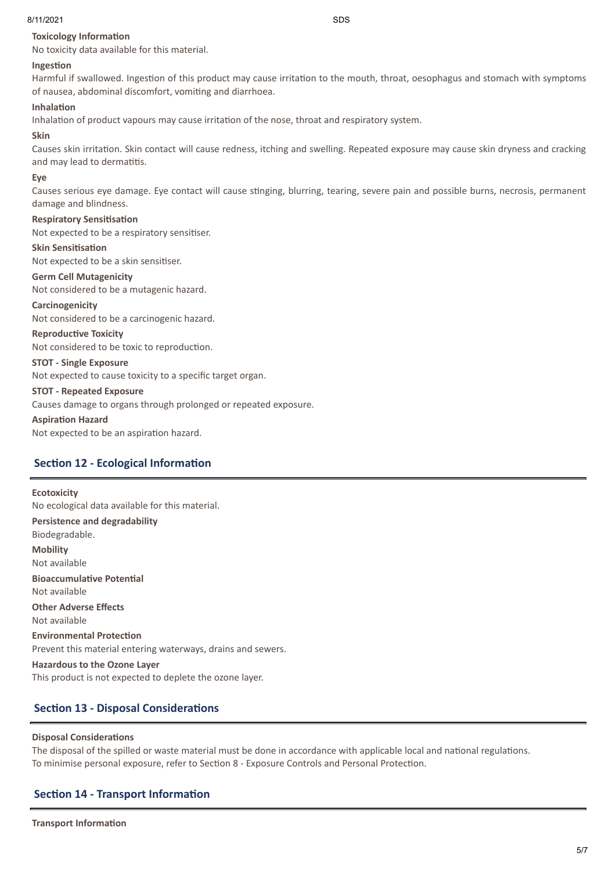## **Toxicology Information**

No toxicity data available for this material.

## **Ingestion**

Harmful if swallowed. Ingestion of this product may cause irritation to the mouth, throat, oesophagus and stomach with symptoms of nausea, abdominal discomfort, vomiting and diarrhoea.

## **Inhalation**

Inhalation of product vapours may cause irritation of the nose, throat and respiratory system.

## **Skin**

Causes skin irritation. Skin contact will cause redness, itching and swelling. Repeated exposure may cause skin dryness and cracking and may lead to dermatitis.

## **Eye**

Causes serious eye damage. Eye contact will cause stinging, blurring, tearing, severe pain and possible burns, necrosis, permanent damage and blindness.

## **Respiratory Sensitisation**

Not expected to be a respiratory sensitiser.

#### **Skin Sensitisation**

Not expected to be a skin sensitiser.

## **Germ Cell Mutagenicity**

Not considered to be a mutagenic hazard.

## **Carcinogenicity**

Not considered to be a carcinogenic hazard.

## **Reproductive Toxicity**

Not considered to be toxic to reproduction.

## **STOT - Single Exposure**

Not expected to cause toxicity to a specific target organ.

#### **STOT - Repeated Exposure**

Causes damage to organs through prolonged or repeated exposure.

## **Aspiration Hazard**

Not expected to be an aspiration hazard.

## **Section 12 - Ecological Information**

## **Ecotoxicity**

No ecological data available for this material. **Persistence and degradability** Biodegradable. **Mobility** Not available **Bioaccumulative Potential** Not available **Other Adverse Effects** Not available **Environmental Protection** Prevent this material entering waterways, drains and sewers.

**Hazardous to the Ozone Layer** This product is not expected to deplete the ozone layer.

## **Section 13 - Disposal Considerations**

## **Disposal Considerations**

The disposal of the spilled or waste material must be done in accordance with applicable local and national regulations. To minimise personal exposure, refer to Section 8 - Exposure Controls and Personal Protection.

## **Section 14 - Transport Information**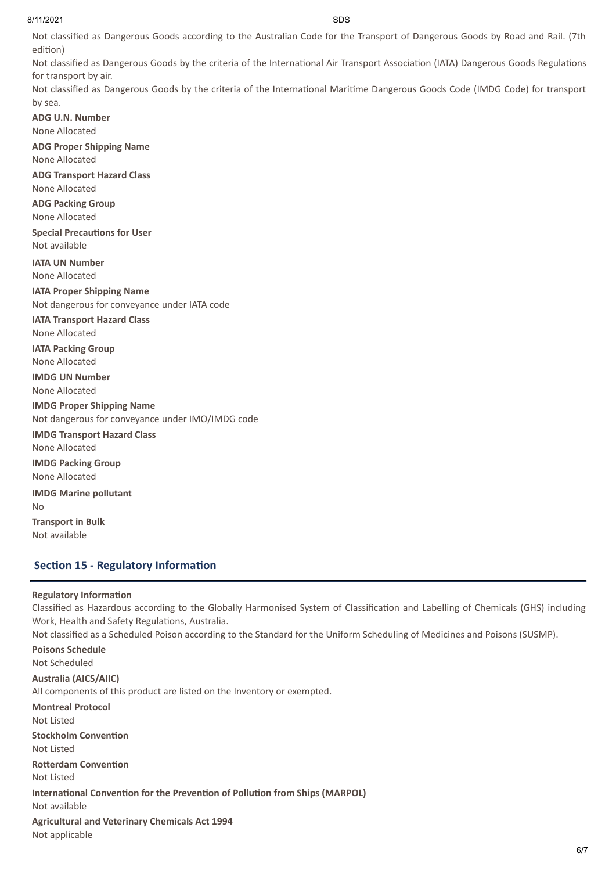Not classified as Dangerous Goods according to the Australian Code for the Transport of Dangerous Goods by Road and Rail. (7th edition)

Not classified as Dangerous Goods by the criteria of the International Air Transport Association (IATA) Dangerous Goods Regulations for transport by air.

Not classified as Dangerous Goods by the criteria of the International Maritime Dangerous Goods Code (IMDG Code) for transport by sea.

**ADG U.N. Number** None Allocated **ADG Proper Shipping Name** None Allocated **ADG Transport Hazard Class** None Allocated **ADG Packing Group** None Allocated **Special Precautions for User** Not available **IATA UN Number** None Allocated **IATA Proper Shipping Name** Not dangerous for conveyance under IATA code **IATA Transport Hazard Class** None Allocated **IATA Packing Group** None Allocated **IMDG UN Number** None Allocated **IMDG Proper Shipping Name** Not dangerous for conveyance under IMO/IMDG code **IMDG Transport Hazard Class** None Allocated **IMDG Packing Group** None Allocated **IMDG Marine pollutant** No **Transport in Bulk** Not available

## **Section 15 - Regulatory Information**

## **Regulatory Information**

Classified as Hazardous according to the Globally Harmonised System of Classification and Labelling of Chemicals (GHS) including Work, Health and Safety Regulations, Australia.

Not classified as a Scheduled Poison according to the Standard for the Uniform Scheduling of Medicines and Poisons (SUSMP).

**Poisons Schedule** Not Scheduled

**Australia (AICS/AIIC)** All components of this product are listed on the Inventory or exempted. **Montreal Protocol** Not Listed **Stockholm Convention** Not Listed **Rotterdam Convention** Not Listed **International Convention for the Prevention of Pollution from Ships (MARPOL)** Not available

**Agricultural and Veterinary Chemicals Act 1994** Not applicable